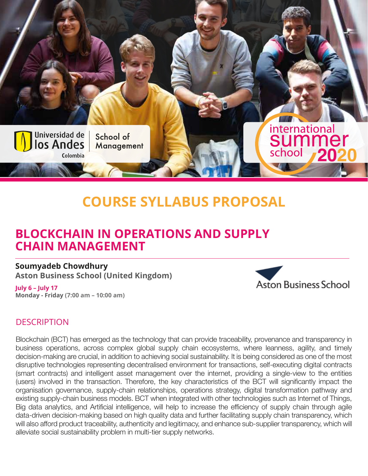

# **COURSE SYLLABUS PROPOSAL**

# **BLOCKCHAIN IN OPERATIONS AND SUPPLY CHAIN MANAGEMENT**

**Soumyadeb Chowdhury Aston Business School (United Kingdom)**

**July 6 – July 17 Monday - Friday (7:00 am – 10:00 am)**



# **DESCRIPTION**

Blockchain (BCT) has emerged as the technology that can provide traceability, provenance and transparency in business operations, across complex global supply chain ecosystems, where leanness, agility, and timely decision-making are crucial, in addition to achieving social sustainability. It is being considered as one of the most disruptive technologies representing decentralised environment for transactions, self-executing digital contracts (smart contracts) and intelligent asset management over the internet, providing a single-view to the entities (users) involved in the transaction. Therefore, the key characteristics of the BCT will significantly impact the organisation governance, supply-chain relationships, operations strategy, digital transformation pathway and existing supply-chain business models. BCT when integrated with other technologies such as Internet of Things, Big data analytics, and Artificial intelligence, will help to increase the efficiency of supply chain through agile data-driven decision-making based on high quality data and further facilitating supply chain transparency, which will also afford product traceability, authenticity and legitimacy, and enhance sub-supplier transparency, which will alleviate social sustainability problem in multi-tier supply networks.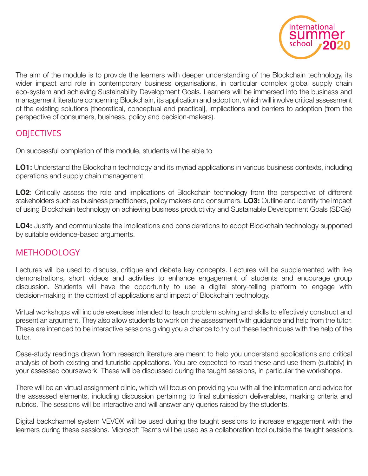

The aim of the module is to provide the learners with deeper understanding of the Blockchain technology, its wider impact and role in contemporary business organisations, in particular complex global supply chain eco-system and achieving Sustainability Development Goals. Learners will be immersed into the business and management literature concerning Blockchain, its application and adoption, which will involve critical assessment of the existing solutions [theoretical, conceptual and practical], implications and barriers to adoption (from the perspective of consumers, business, policy and decision-makers).

# **OBJECTIVES**

On successful completion of this module, students will be able to

**LO1:** Understand the Blockchain technology and its myriad applications in various business contexts, including operations and supply chain management

**LO2**: Critically assess the role and implications of Blockchain technology from the perspective of different stakeholders such as business practitioners, policy makers and consumers. **LO3:** Outline and identify the impact of using Blockchain technology on achieving business productivity and Sustainable Development Goals (SDGs)

**LO4:** Justify and communicate the implications and considerations to adopt Blockchain technology supported by suitable evidence-based arguments.

### METHODOLOGY

Lectures will be used to discuss, critique and debate key concepts. Lectures will be supplemented with live demonstrations, short videos and activities to enhance engagement of students and encourage group discussion. Students will have the opportunity to use a digital story-telling platform to engage with decision-making in the context of applications and impact of Blockchain technology.

Virtual workshops will include exercises intended to teach problem solving and skills to effectively construct and present an argument. They also allow students to work on the assessment with guidance and help from the tutor. These are intended to be interactive sessions giving you a chance to try out these techniques with the help of the tutor.

Case-study readings drawn from research literature are meant to help you understand applications and critical analysis of both existing and futuristic applications. You are expected to read these and use them (suitably) in your assessed coursework. These will be discussed during the taught sessions, in particular the workshops.

There will be an virtual assignment clinic, which will focus on providing you with all the information and advice for the assessed elements, including discussion pertaining to final submission deliverables, marking criteria and rubrics. The sessions will be interactive and will answer any queries raised by the students.

Digital backchannel system VEVOX will be used during the taught sessions to increase engagement with the learners during these sessions. Microsoft Teams will be used as a collaboration tool outside the taught sessions.